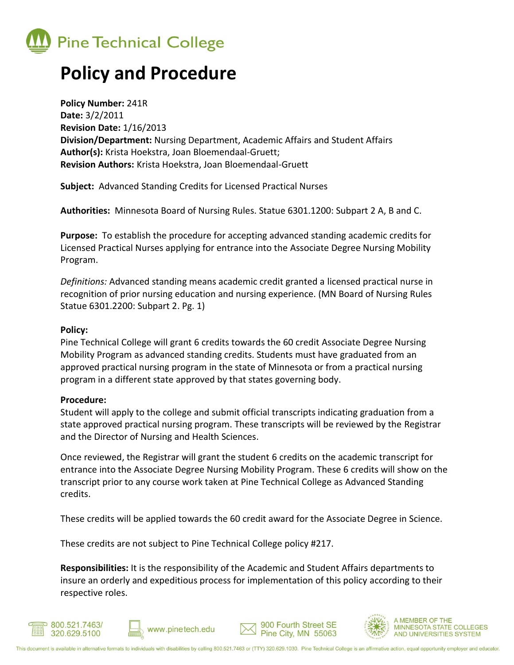

## **Policy and Procedure**

**Policy Number:** 241R **Date:** 3/2/2011 **Revision Date:** 1/16/2013 **Division/Department:** Nursing Department, Academic Affairs and Student Affairs **Author(s):** Krista Hoekstra, Joan Bloemendaal-Gruett; **Revision Authors:** Krista Hoekstra, Joan Bloemendaal-Gruett

**Subject:** Advanced Standing Credits for Licensed Practical Nurses

**Authorities:** Minnesota Board of Nursing Rules. Statue 6301.1200: Subpart 2 A, B and C.

**Purpose:** To establish the procedure for accepting advanced standing academic credits for Licensed Practical Nurses applying for entrance into the Associate Degree Nursing Mobility Program.

*Definitions:* Advanced standing means academic credit granted a licensed practical nurse in recognition of prior nursing education and nursing experience. (MN Board of Nursing Rules Statue 6301.2200: Subpart 2. Pg. 1)

## **Policy:**

Pine Technical College will grant 6 credits towards the 60 credit Associate Degree Nursing Mobility Program as advanced standing credits. Students must have graduated from an approved practical nursing program in the state of Minnesota or from a practical nursing program in a different state approved by that states governing body.

## **Procedure:**

Student will apply to the college and submit official transcripts indicating graduation from a state approved practical nursing program. These transcripts will be reviewed by the Registrar and the Director of Nursing and Health Sciences.

Once reviewed, the Registrar will grant the student 6 credits on the academic transcript for entrance into the Associate Degree Nursing Mobility Program. These 6 credits will show on the transcript prior to any course work taken at Pine Technical College as Advanced Standing credits.

These credits will be applied towards the 60 credit award for the Associate Degree in Science.

These credits are not subject to Pine Technical College policy #217.

**Responsibilities:** It is the responsibility of the Academic and Student Affairs departments to insure an orderly and expeditious process for implementation of this policy according to their respective roles.